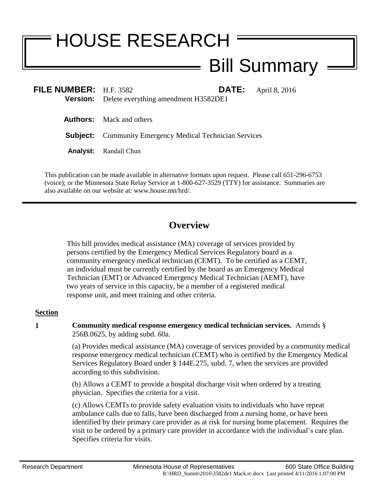# HOUSE RESEARCH

# Bill Summary

| FILE NUMBER: $H.F. 3582$ | <b>Version:</b> Delete everything amendment H3582DE1            | <b>DATE:</b> April 8, 2016 |
|--------------------------|-----------------------------------------------------------------|----------------------------|
|                          | <b>Authors:</b> Mack and others                                 |                            |
|                          | <b>Subject:</b> Community Emergency Medical Technician Services |                            |
|                          | <b>Analyst:</b> Randall Chun                                    |                            |

This publication can be made available in alternative formats upon request. Please call 651-296-6753 (voice); or the Minnesota State Relay Service at 1-800-627-3529 (TTY) for assistance. Summaries are also available on our website at: www.house.mn/hrd/.

## **Overview**

This bill provides medical assistance (MA) coverage of services provided by persons certified by the Emergency Medical Services Regulatory board as a community emergency medical technician (CEMT). To be certified as a CEMT, an individual must be currently certified by the board as an Emergency Medical Technician (EMT) or Advanced Emergency Medical Technician (AEMT), have two years of service in this capacity, be a member of a registered medical response unit, and meet training and other criteria.

### **Section**

**1 Community medical response emergency medical technician services.** Amends § 256B.0625, by adding subd. 60a.

> (a) Provides medical assistance (MA) coverage of services provided by a community medical response emergency medical technician (CEMT) who is certified by the Emergency Medical Services Regulatory Board under § 144E.275, subd. 7, when the services are provided according to this subdivision.

(b) Allows a CEMT to provide a hospital discharge visit when ordered by a treating physician. Specifies the criteria for a visit.

(c) Allows CEMTs to provide safety evaluation visits to individuals who have repeat ambulance calls due to falls, have been discharged from a nursing home, or have been identified by their primary care provider as at risk for nursing home placement. Requires the visit to be ordered by a primary care provider in accordance with the individual's care plan. Specifies criteria for visits.